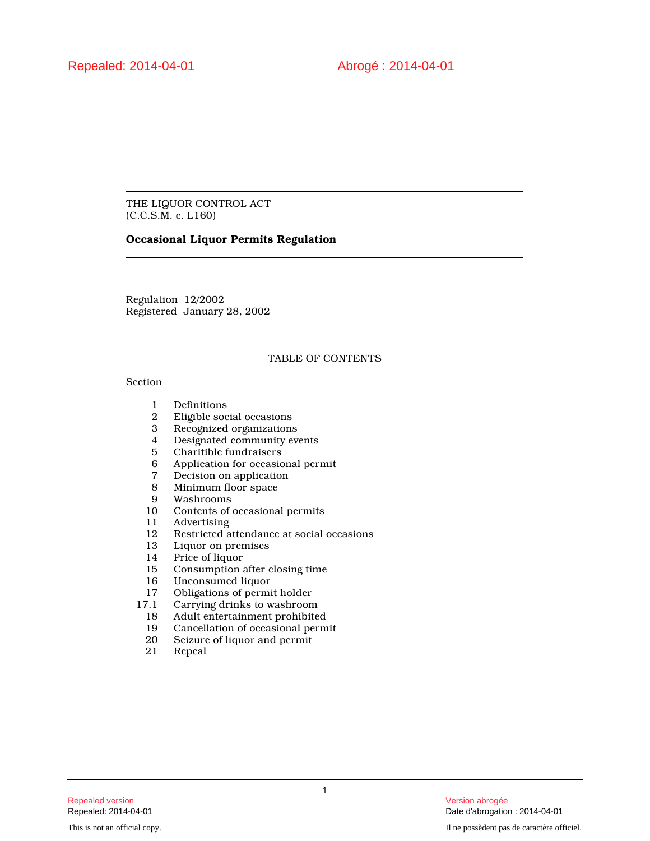THE LIQUOR CONTROL ACT (C.C.S.M. c. L160)

## **Occasional Liquor Permits Regulation**

Regulation 12/2002 Registered January 28, 2002

#### TABLE OF CONTENTS

#### Section

- 1 Definitions<br>2 Eligible soc
- 2 Eligible social occasions
- 3 Recognized organizations
- 4 Designated community events<br>5 Charitible fundraisers
- 5 Charitible fundraisers
- 6 Application for occasional permit
- 7 Decision on application<br>8 Minimum floor space
- 8 Minimum floor space<br>9 Washrooms
- 9 Washrooms
- 10 Contents of occasional permits<br>11 Advertising
- 11 Advertising<br>12 Restricted a
- 12 Restricted attendance at social occasions<br>13 Liquor on premises
- 13 Liquor on premises<br>14 Price of liquor
- Price of liquor
- 15 Consumption after closing time<br>16 Unconsumed liquor
- 16 Unconsumed liquor<br>17 Obligations of permi
- 17 Obligations of permit holder<br>17.1 Carrying drinks to washroom
	- Carrying drinks to washroom
	- 18 Adult entertainment prohibited
	- 19 Cancellation of occasional permit<br>20 Seizure of liquor and permit
	- Seizure of liquor and permit
	- 21 Repeal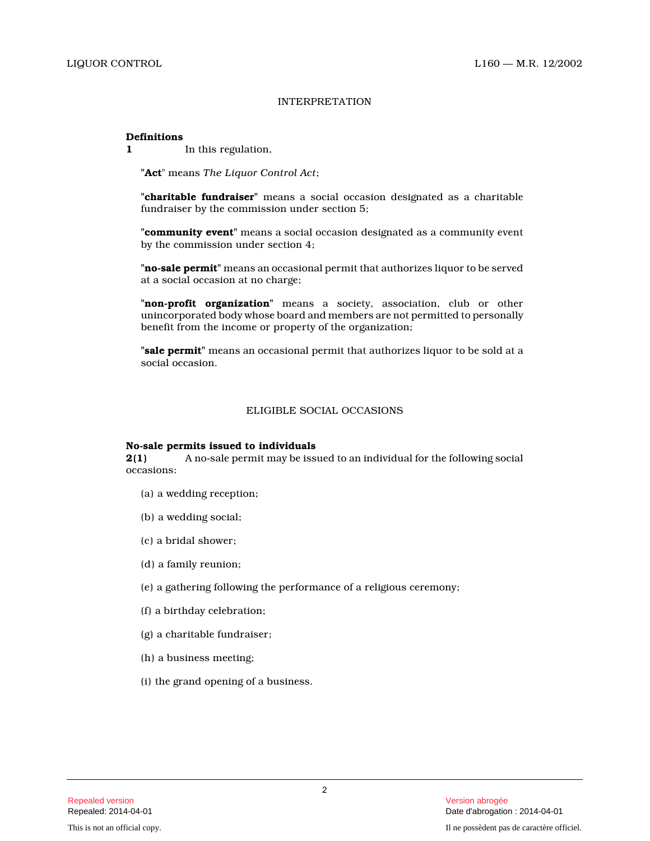#### INTERPRETATION

#### **Definitions**

**1** In this regulation,

**"Act**" means *The Liquor Control Act* ;

**"charitable fundraiser"** means a social occasion designated as a charitable fundraiser by the commission under section 5;

**"community event"** means a social occasion designated as a community event by the commission under section 4;

**"no-sale permit"** means an occasional permit that authorizes liquor to be served at a social occasion at no charge;

**"non-profit organization"** means a society, association, club or other unincorporated body whose board and members are not permitted to personally benefit from the income or property of the organization;

**"sale permit"** means an occasional permit that authorizes liquor to be sold at a social occasion.

## ELIGIBLE SOCIAL OCCASIONS

#### **No-sale permits issued to individuals**

**2(1)** A no-sale permit may be issued to an individual for the following social occasions:

- (a) a wedding reception;
- (b) a wedding social;
- (c) a bridal shower;
- (d) a family reunion;
- (e) a gathering following the performance of a religious ceremony;
- (f) a birthday celebration;
- (g) a charitable fundraiser;
- (h) a business meeting;
- (i) the grand opening of a business.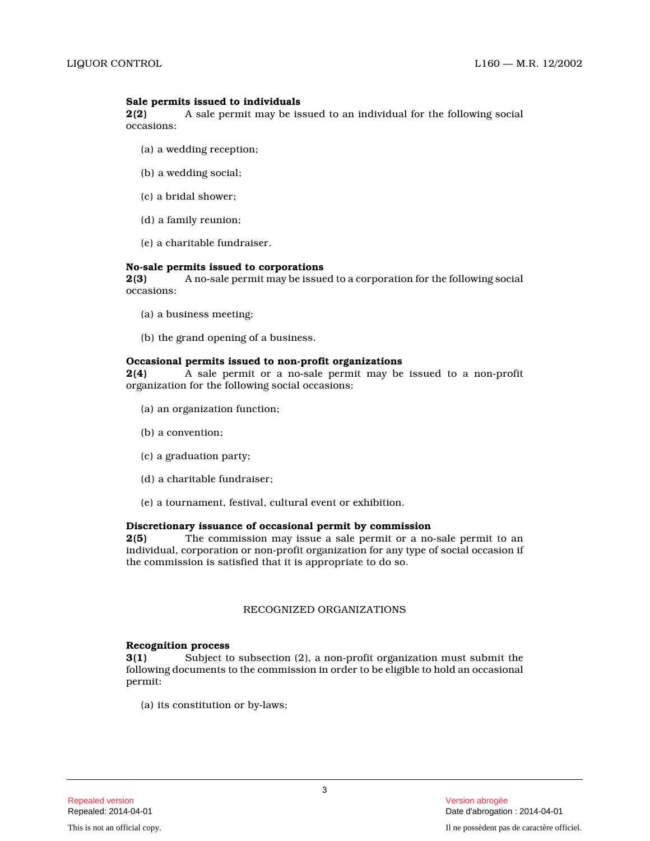## **Sale permits issued to individuals**

**2(2)** A sale permit may be issued to an individual for the following social occasions:

- (a) a wedding reception;
- (b) a wedding social;
- (c) a bridal shower;
- (d) a family reunion;
- (e) a charitable fundraiser.

#### **No-sale permits issued to corporations**

**2(3)** A no-sale permit may be issued to a corporation for the following social occasions:

- (a) a business meeting;
- (b) the grand opening of a business.

#### **Occasional permits issued to non-profit organizations**

**2(4)** A sale permit or a no-sale permit may be issued to a non-profit organization for the following social occasions:

- (a) an organization function;
- (b) a convention;
- (c) a graduation party;
- (d) a charitable fundraiser;
- (e) a tournament, festival, cultural event or exhibition.

## **Discretionary issuance of occasional permit by commission**

**2(5)** The commission may issue a sale permit or a no-sale permit to an individual, corporation or non-profit organization for any type of social occasion if the commission is satisfied that it is appropriate to do so.

#### RECOGNIZED ORGANIZATIONS

#### **Recognition process**

**3(1)** Subject to subsection (2), a non-profit organization must submit the following documents to the commission in order to be eligible to hold an occasional permit:

(a) its constitution or by-laws;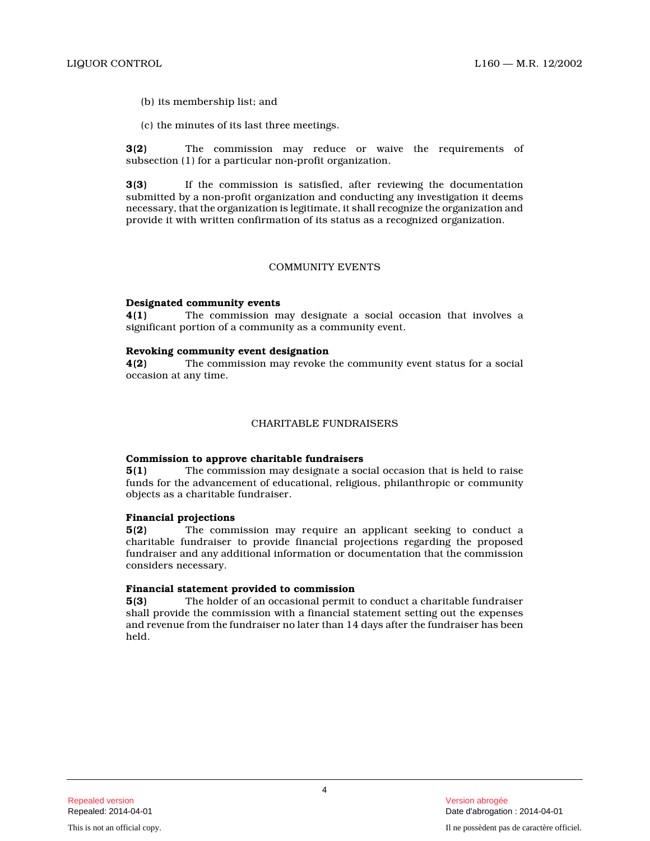(b) its membership list; and

(c) the minutes of its last three meetings.

**3(2)** The commission may reduce or waive the requirements of subsection (1) for a particular non-profit organization.

**3(3)** If the commission is satisfied, after reviewing the documentation submitted by a non-profit organization and conducting any investigation it deems necessary, that the organization is legitimate, it shall recognize the organization and provide it with written confirmation of its status as a recognized organization.

#### COMMUNITY EVENTS

#### **Designated community events**

**4(1)** The commission may designate a social occasion that involves a significant portion of a community as a community event.

#### **Revoking community event designation**

**4(2)** The commission may revoke the community event status for a social occasion at any time.

#### CHARITABLE FUNDRAISERS

#### **Commission to approve charitable fundraisers**

**5(1)** The commission may designate a social occasion that is held to raise funds for the advancement of educational, religious, philanthropic or community objects as a charitable fundraiser.

#### **Financial projections**

**5(2)** The commission may require an applicant seeking to conduct a charitable fundraiser to provide financial projections regarding the proposed fundraiser and any additional information or documentation that the commission considers necessary.

#### **Financial statement provided to commission**

**5(3)** The holder of an occasional permit to conduct a charitable fundraiser shall provide the commission with a financial statement setting out the expenses and revenue from the fundraiser no later than 14 days after the fundraiser has been held.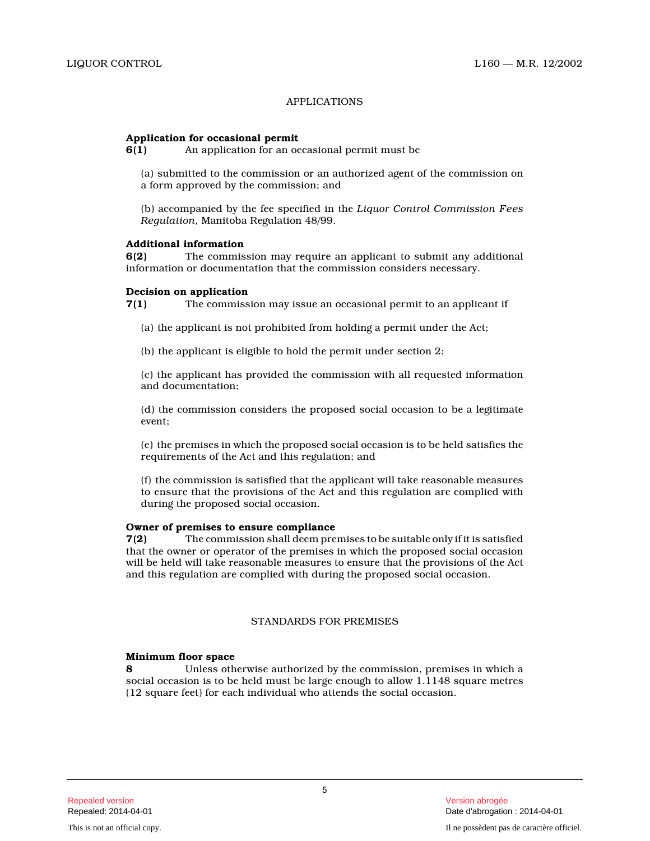## APPLICATIONS

## **Application for occasional permit**

**6(1)** An application for an occasional permit must be

(a) submitted to the commission or an authorized agent of the commission on a form approved by the commission; and

(b) accompanied by the fee specified in the *Liquor Control Commission Fees Regulation*, Manitoba Regulation 48/99.

#### **Additional information**

**6(2)** The commission may require an applicant to submit any additional information or documentation that the commission considers necessary.

#### **Decision on application**

**7(1)** The commission may issue an occasional permit to an applicant if

(a) the applicant is not prohibited from holding a permit under the Act;

(b) the applicant is eligible to hold the permit under section 2;

(c) the applicant has provided the commission with all requested information and documentation;

(d) the commission considers the proposed social occasion to be a legitimate event;

(e) the premises in which the proposed social occasion is to be held satisfies the requirements of the Act and this regulation; and

(f) the commission is satisfied that the applicant will take reasonable measures to ensure that the provisions of the Act and this regulation are complied with during the proposed social occasion.

#### **Owner of premises to ensure compliance**

**7(2)** The commission shall deem premises to be suitable only if it is satisfied that the owner or operator of the premises in which the proposed social occasion will be held will take reasonable measures to ensure that the provisions of the Act and this regulation are complied with during the proposed social occasion.

## STANDARDS FOR PREMISES

#### **Minimum floor space**

**8** Unless otherwise authorized by the commission, premises in which a social occasion is to be held must be large enough to allow 1.1148 square metres (12 square feet) for each individual who attends the social occasion.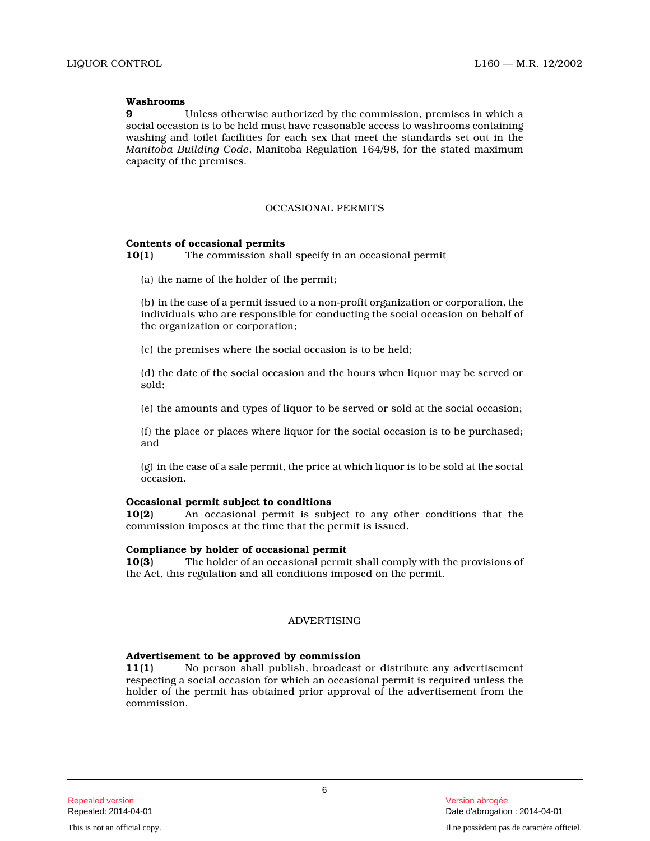#### **Washrooms**

**9** Unless otherwise authorized by the commission, premises in which a social occasion is to be held must have reasonable access to washrooms containing washing and toilet facilities for each sex that meet the standards set out in the *Manitoba Building Code*, Manitoba Regulation 164/98, for the stated maximu m capacity of the premises.

#### OCCASIONAL PERMITS

#### **Contents of occasional permits**

**10(1)** The commission shall specify in an occasional permi t

(a) the name of the holder of the permit;

(b) in the case of a permit issued to a non-profit organization or corporation, the individuals who are responsible for conducting the social occasion on behalf of the organization or corporation;

(c) the premises where the social occasion is to be held;

(d) the date of the social occasion and the hours when liquor may be served or sold;

(e) the amounts and types of liquor to be served or sold at the social occasion;

(f) the place or places where liquor for the social occasion is to be purchased; and

(g) in the case of a sale permit, the price at which liquor is to be sold at the social occasion.

#### **Occasional permit subject to conditions**

**10(2)** An occasional permit is subject to any other conditions that the commission imposes at the time that the permit is issued.

#### **Compliance by holder of occasional permit**

**10(3)** The holder of an occasional permit shall comply with the provisions of the Act, this regulation and all conditions imposed on the permit.

## ADVERTISING

#### **Advertisement to be approved by commission**

**11(1)** No person shall publish, broadcast or distribute any advertisement respecting a social occasion for which an occasional permit is required unless the holder of the permit has obtained prior approval of the advertisement from the commission.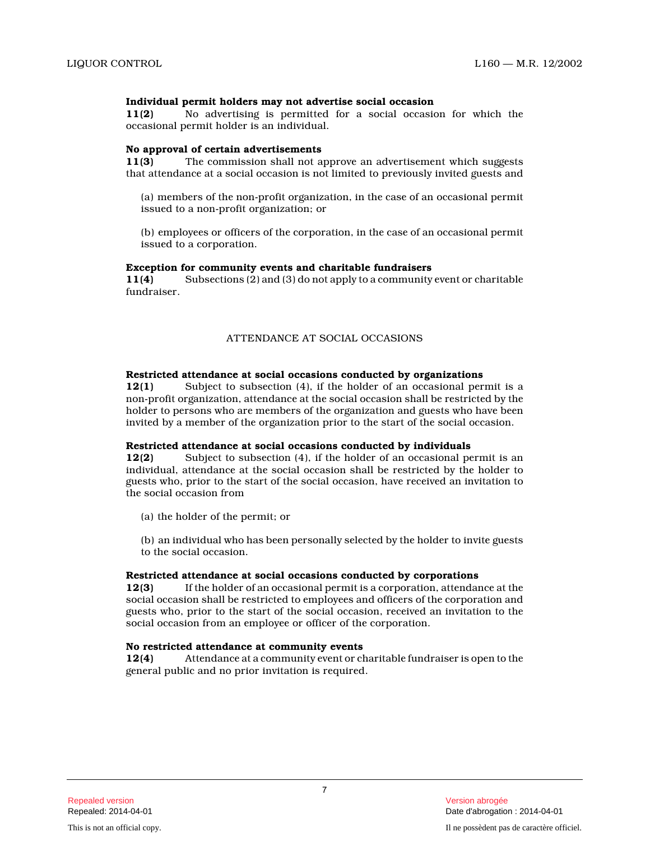## **Individual permit holders may not advertise social occasion**

**11(2)** No advertising is permitted for a social occasion for which the occasional permit holder is an individual.

#### **No approval of certain advertisements**

**11(3)** The commission shall not approve an advertisement which suggests that attendance at a social occasion is not limited to previously invited guests and

(a) members of the non-profit organization, in the case of an occasional permit issued to a non-profit organization; or

(b) employees or officers of the corporation, in the case of an occasional permit issued to a corporation.

#### **Exception for community events and charitable fundraisers**

**11(4)** Subsections (2) and (3) do not apply to a community event or charitable fundraiser.

#### ATTENDANCE AT SOCIAL OCCASIONS

#### **Restricted attendance at social occasions conducted by organizations**

**12(1)** Subject to subsection (4), if the holder of an occasional permit is a non-profit organization, attendance at the social occasion shall be restricted by the holder to persons who are members of the organization and guests who have been invited by a member of the organization prior to the start of the social occasion.

#### **Restricted attendance at social occasions conducted by individuals**

**12(2)** Subject to subsection (4), if the holder of an occasional permit is an individual, attendance at the social occasion shall be restricted by the holder to guests who, prior to the start of the social occasion, have received an invitation to the social occasion from

(a) the holder of the permit; or

(b) an individual who has been personally selected by the holder to invite guests to the social occasion.

#### **Restricted attendance at social occasions conducted by corporations**

**12(3)** If the holder of an occasional permit is a corporation, attendance at the social occasion shall be restricted to employees and officers of the corporation and guests who, prior to the start of the social occasion, received an invitation to the social occasion from an employee or officer of the corporation.

#### **No restricted attendance at community events**

**12(4)** Attendance at a community event or charitable fundraiser is open to the general public and no prior invitation is required.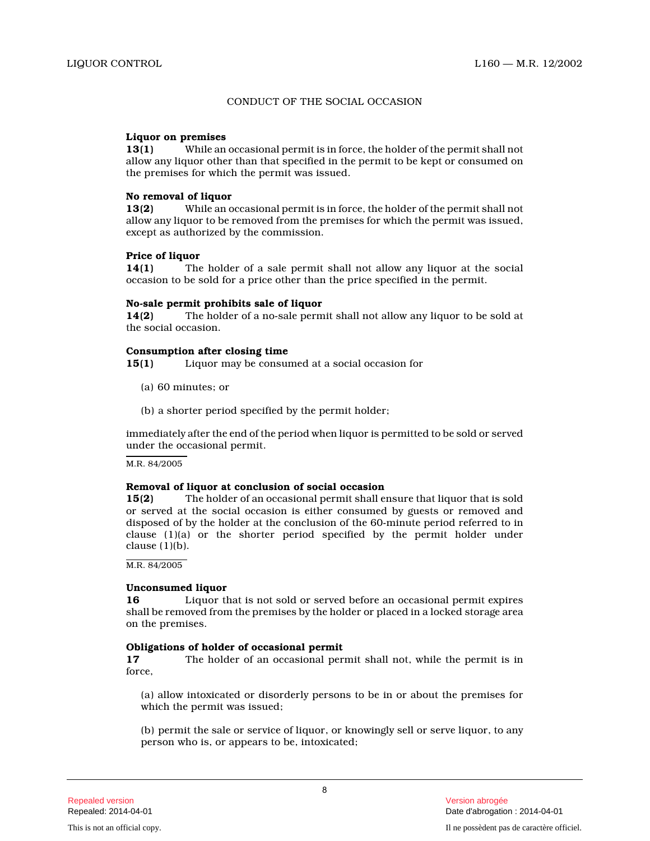#### CONDUCT OF THE SOCIAL OCCASION

#### **Liquor on premises**

**13(1)** While an occasional permit is in force, the holder of the permit shall not allow any liquor other than that specified in the permit to be kept or consumed on the premises for which the permit was issued.

#### **No removal of liquor**

**13(2)** While an occasional permit is in force, the holder of the permit shall not allow any liquor to be removed from the premises for which the permit was issued, except as authorized by the commission.

#### **Price of liquor**

**14(1)** The holder of a sale permit shall not allow any liquor at the social occasion to be sold for a price other than the price specified in the permit.

#### **No-sale permit prohibits sale of liquor**

**14(2)** The holder of a no-sale permit shall not allow any liquor to be sold at the social occasion.

## **Consumption after closing time**

**15(1)** Liquor may be consumed at a social occasion for

- (a) 60 minutes; or
- (b) a shorter period specified by the permit holder;

immediately after the end of the period when liquor is permitted to be sold or served under the occasional permit.

M.R. 84/2005

#### **Removal of liquor at conclusion of social occasion**

**15(2)** The holder of an occasional permit shall ensure that liquor that is sold or served at the social occasion is either consumed by guests or removed and disposed of by the holder at the conclusion of the 60-minute period referred to in clause (1)(a) or the shorter period specified by the permit holder under clause  $(1)(b)$ .

M.R. 84/2005

## **Unconsumed liquor**

**16** Liquor that is not sold or served before an occasional permit expires shall be removed from the premises by the holder or placed in a locked storage area on the premises.

## **Obligations of holder of occasional permit**<br>17 The holder of an occasional per

**17** The holder of an occasional permit shall not, while the permit is in force,

(a) allow intoxicated or disorderly persons to be in or about the premises for which the permit was issued;

(b) permit the sale or service of liquor, or knowingly sell or serve liquor, to any person who is, or appears to be, intoxicated;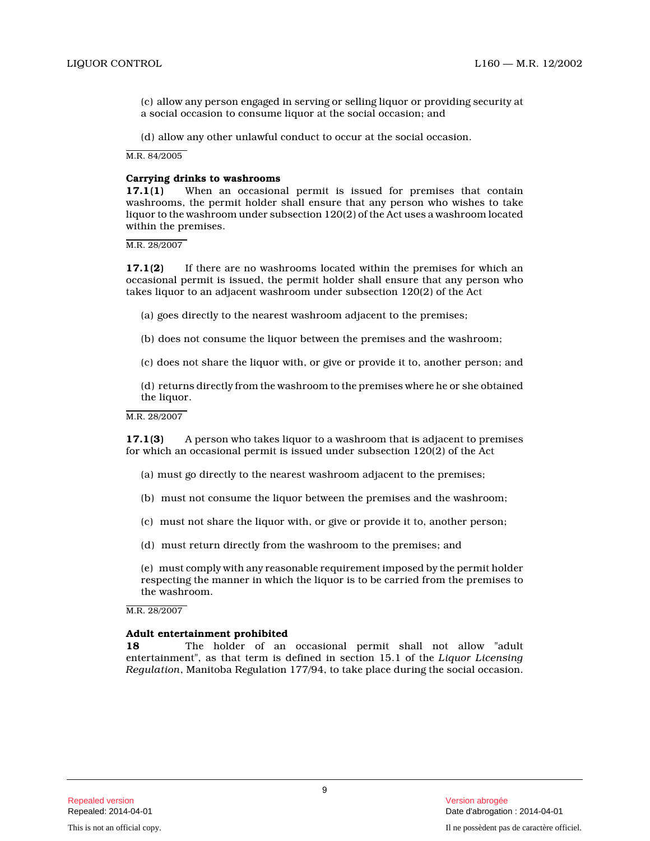(c) allow any person engaged in serving or selling liquor or providing security at a social occasion to consume liquor at the social occasion; and

(d) allow any other unlawful conduct to occur at the social occasion.

M.R. 84/2005

#### **Carrying drinks to washrooms**

**17.1(1)** When an occasional permit is issued for premises that contain washrooms, the permit holder shall ensure that any person who wishes to take liquor to the washroom under subsection 120(2) of the Act uses a washroom located within the premises.

M.R. 28/2007

**17.1(2)** If there are no washrooms located within the premises for which an occasional permit is issued, the permit holder shall ensure that any person who takes liquor to an adjacent washroom under subsection 120(2) of the Act

- (a) goes directly to the nearest washroom adjacent to the premises;
- (b) does not consume the liquor between the premises and the washroom;
- (c) does not share the liquor with, or give or provide it to, another person; and

(d) returns directly from the washroom to the premises where he or she obtained the liquor.

M.R. 28/2007

**17.1(3)** A person who takes liquor to a washroom that is adjacent to premises for which an occasional permit is issued under subsection 120(2) of the Act

- (a) must go directly to the nearest washroom adjacent to the premises;
- (b) must not consume the liquor between the premises and the washroom;
- (c) must not share the liquor with, or give or provide it to, another person;
- (d) must return directly from the washroom to the premises; and

(e) must comply with any reasonable requirement imposed by the permit holder respecting the manner in which the liquor is to be carried from the premises to the washroom.

M.R. 28/2007

#### **Adult entertainment prohibited**

**18** The holder of an occasional permit shall not allow "adult entertainment", as that term is defined in section 15.1 of the *Liquor Licensing Regulation*, Manitoba Regulation 177/94, to take place during the social occasion.